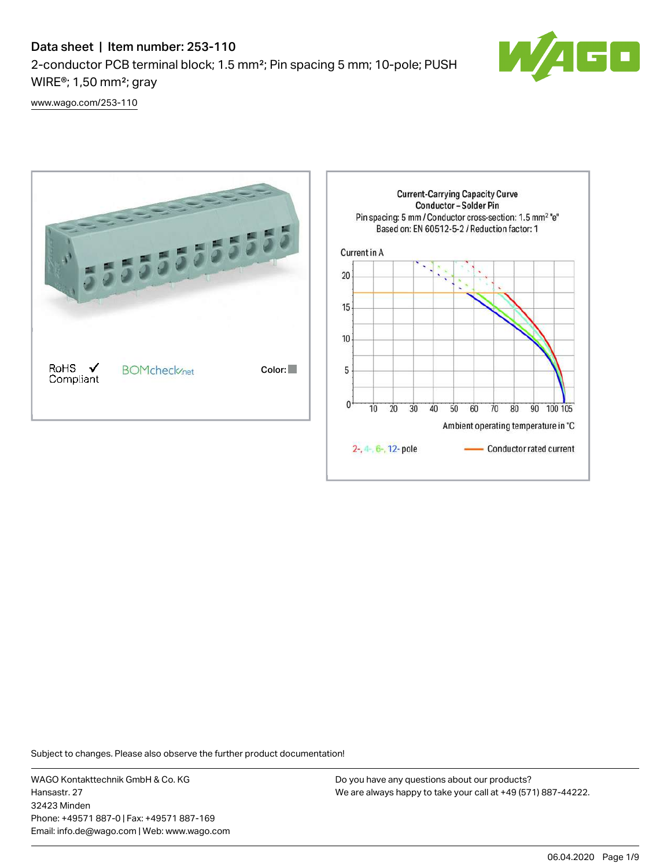# Data sheet | Item number: 253-110 2-conductor PCB terminal block; 1.5 mm²; Pin spacing 5 mm; 10-pole; PUSH WIRE®; 1,50 mm²; gray



[www.wago.com/253-110](http://www.wago.com/253-110)



Subject to changes. Please also observe the further product documentation!

WAGO Kontakttechnik GmbH & Co. KG Hansastr. 27 32423 Minden Phone: +49571 887-0 | Fax: +49571 887-169 Email: info.de@wago.com | Web: www.wago.com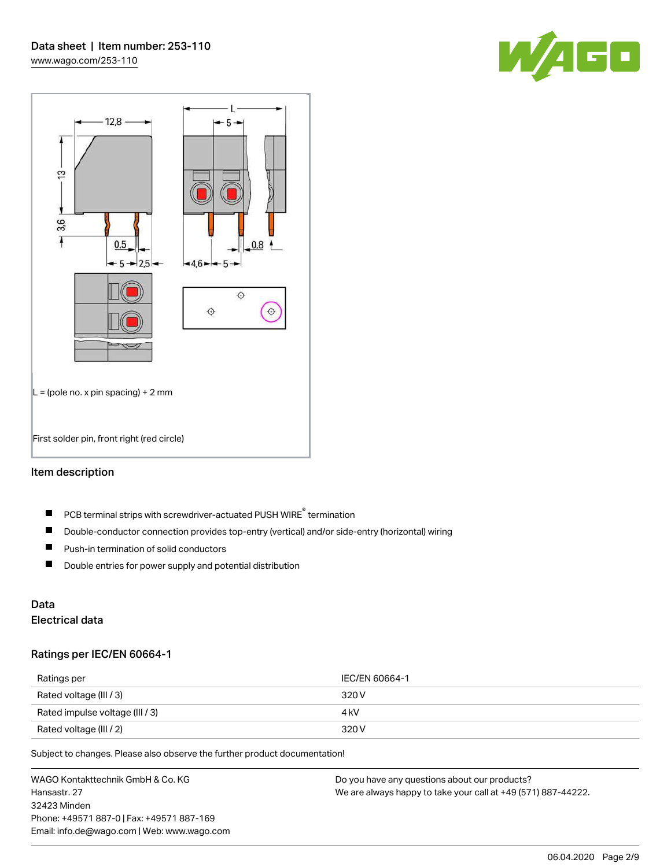



#### Item description

- PCB terminal strips with screwdriver-actuated PUSH WIRE® termination  $\blacksquare$
- $\blacksquare$ Double-conductor connection provides top-entry (vertical) and/or side-entry (horizontal) wiring
- $\blacksquare$ Push-in termination of solid conductors
- $\blacksquare$ Double entries for power supply and potential distribution

# Data

## Electrical data

#### Ratings per IEC/EN 60664-1

| Ratings per                     | IEC/EN 60664-1 |
|---------------------------------|----------------|
| Rated voltage (III / 3)         | 320 V          |
| Rated impulse voltage (III / 3) | 4 kV           |
| Rated voltage (III / 2)         | 320 V          |

Subject to changes. Please also observe the further product documentation!

WAGO Kontakttechnik GmbH & Co. KG Hansastr. 27 32423 Minden Phone: +49571 887-0 | Fax: +49571 887-169 Email: info.de@wago.com | Web: www.wago.com Do you have any questions about our products? We are always happy to take your call at +49 (571) 887-44222.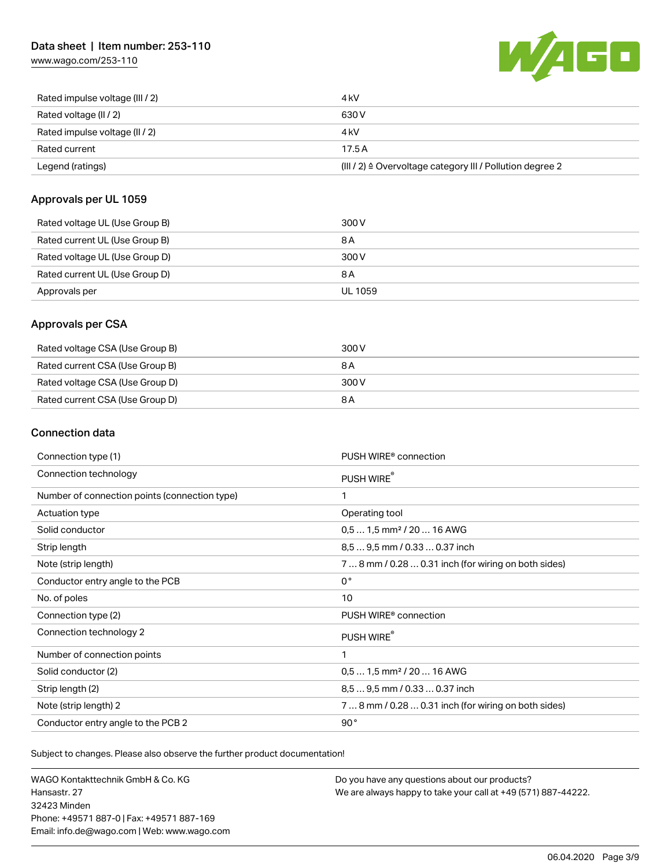## Data sheet | Item number: 253-110

[www.wago.com/253-110](http://www.wago.com/253-110)



| Rated impulse voltage (III / 2) | 4 kV                                                      |
|---------------------------------|-----------------------------------------------------------|
| Rated voltage (II / 2)          | 630 V                                                     |
| Rated impulse voltage (II / 2)  | 4 kV                                                      |
| Rated current                   | 17.5A                                                     |
| Legend (ratings)                | (III / 2) ≙ Overvoltage category III / Pollution degree 2 |

#### Approvals per UL 1059

| Rated voltage UL (Use Group B) | 300 V          |
|--------------------------------|----------------|
| Rated current UL (Use Group B) | 8 A            |
| Rated voltage UL (Use Group D) | 300 V          |
| Rated current UL (Use Group D) | 8 A            |
| Approvals per                  | <b>UL 1059</b> |

### Approvals per CSA

| Rated voltage CSA (Use Group B) | 300 V |
|---------------------------------|-------|
| Rated current CSA (Use Group B) | 8 A   |
| Rated voltage CSA (Use Group D) | 300 V |
| Rated current CSA (Use Group D) | 8 A   |

### Connection data

| Connection type (1)                           | PUSH WIRE <sup>®</sup> connection                    |
|-----------------------------------------------|------------------------------------------------------|
| Connection technology                         | PUSH WIRE®                                           |
| Number of connection points (connection type) | 1                                                    |
| Actuation type                                | Operating tool                                       |
| Solid conductor                               | $0.51.5$ mm <sup>2</sup> / 20  16 AWG                |
| Strip length                                  | 8,5  9,5 mm / 0.33  0.37 inch                        |
| Note (strip length)                           | 7  8 mm / 0.28  0.31 inch (for wiring on both sides) |
| Conductor entry angle to the PCB              | $0^{\circ}$                                          |
| No. of poles                                  | 10                                                   |
| Connection type (2)                           | PUSH WIRE <sup>®</sup> connection                    |
| Connection technology 2                       | PUSH WIRE®                                           |
| Number of connection points                   | 1                                                    |
| Solid conductor (2)                           | $0.51.5$ mm <sup>2</sup> / 20  16 AWG                |
| Strip length (2)                              | 8.5  9.5 mm / 0.33  0.37 inch                        |
| Note (strip length) 2                         | 7  8 mm / 0.28  0.31 inch (for wiring on both sides) |
| Conductor entry angle to the PCB 2            | 90°                                                  |

Subject to changes. Please also observe the further product documentation!

WAGO Kontakttechnik GmbH & Co. KG Hansastr. 27 32423 Minden Phone: +49571 887-0 | Fax: +49571 887-169 Email: info.de@wago.com | Web: www.wago.com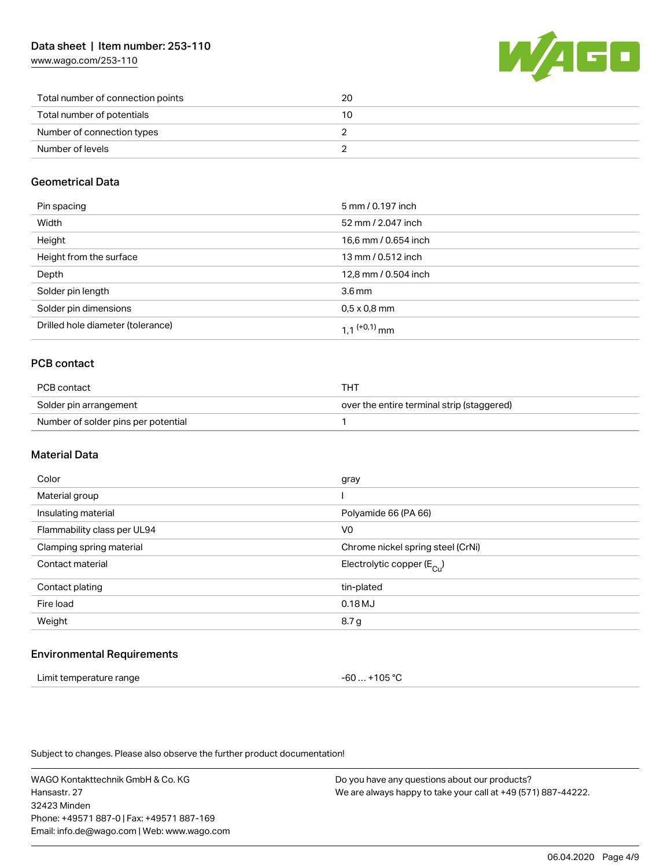[www.wago.com/253-110](http://www.wago.com/253-110)



| Total number of connection points | 20 |
|-----------------------------------|----|
| Total number of potentials        | 10 |
| Number of connection types        |    |
| Number of levels                  |    |

#### Geometrical Data

| Pin spacing                       | 5 mm / 0.197 inch        |
|-----------------------------------|--------------------------|
| Width                             | 52 mm / 2.047 inch       |
| Height                            | 16,6 mm / 0.654 inch     |
| Height from the surface           | 13 mm / 0.512 inch       |
| Depth                             | 12,8 mm / 0.504 inch     |
| Solder pin length                 | 3.6 <sub>mm</sub>        |
| Solder pin dimensions             | $0.5 \times 0.8$ mm      |
| Drilled hole diameter (tolerance) | 1 1 <sup>(+0,1)</sup> mm |

### PCB contact

| PCB contact                         | THT                                        |
|-------------------------------------|--------------------------------------------|
| Solder pin arrangement              | over the entire terminal strip (staggered) |
| Number of solder pins per potential |                                            |

#### Material Data

| Color                       | gray                                  |
|-----------------------------|---------------------------------------|
| Material group              |                                       |
| Insulating material         | Polyamide 66 (PA 66)                  |
| Flammability class per UL94 | V <sub>0</sub>                        |
| Clamping spring material    | Chrome nickel spring steel (CrNi)     |
| Contact material            | Electrolytic copper $(E_{\text{Cl}})$ |
| Contact plating             | tin-plated                            |
| Fire load                   | 0.18MJ                                |
| Weight                      | 8.7 g                                 |
|                             |                                       |

#### Environmental Requirements

| Limit temperature range | -60  +105 °C |
|-------------------------|--------------|
|-------------------------|--------------|

Subject to changes. Please also observe the further product documentation!

WAGO Kontakttechnik GmbH & Co. KG Hansastr. 27 32423 Minden Phone: +49571 887-0 | Fax: +49571 887-169 Email: info.de@wago.com | Web: www.wago.com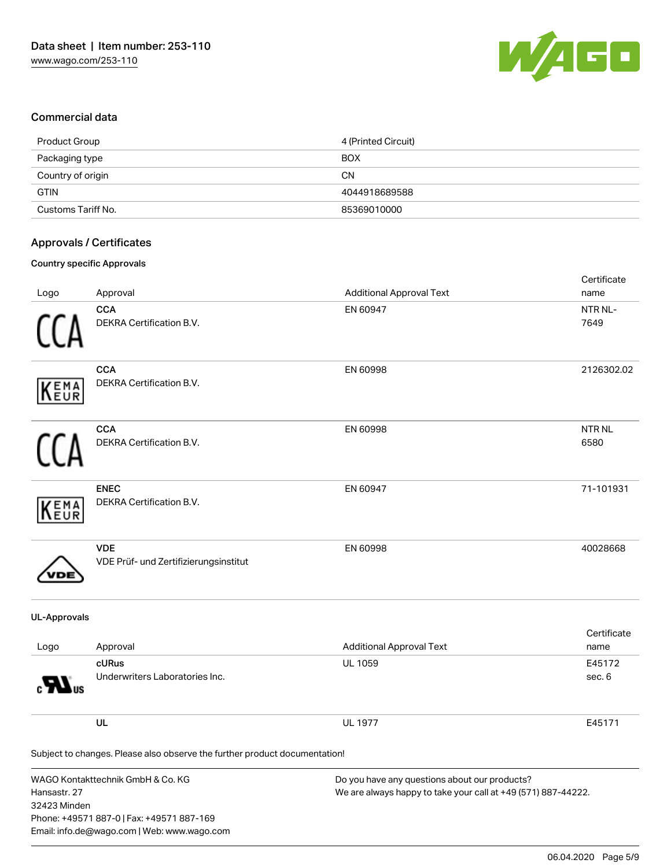

#### Commercial data

| Product Group      | 4 (Printed Circuit) |
|--------------------|---------------------|
| Packaging type     | <b>BOX</b>          |
| Country of origin  | <b>CN</b>           |
| <b>GTIN</b>        | 4044918689588       |
| Customs Tariff No. | 85369010000         |

#### Approvals / Certificates

#### Country specific Approvals

| Logo                         | Approval                                                                                                                      | <b>Additional Approval Text</b>                                                                                | Certificate<br>name   |
|------------------------------|-------------------------------------------------------------------------------------------------------------------------------|----------------------------------------------------------------------------------------------------------------|-----------------------|
|                              | <b>CCA</b><br>DEKRA Certification B.V.                                                                                        | EN 60947                                                                                                       | NTR NL-<br>7649       |
| EMA<br>EUR                   | <b>CCA</b><br>DEKRA Certification B.V.                                                                                        | EN 60998                                                                                                       | 2126302.02            |
|                              | <b>CCA</b><br>DEKRA Certification B.V.                                                                                        | EN 60998                                                                                                       | <b>NTR NL</b><br>6580 |
| EMA<br>EUR                   | <b>ENEC</b><br>DEKRA Certification B.V.                                                                                       | EN 60947                                                                                                       | 71-101931             |
|                              | <b>VDE</b><br>VDE Prüf- und Zertifizierungsinstitut                                                                           | EN 60998                                                                                                       | 40028668              |
| <b>UL-Approvals</b>          |                                                                                                                               |                                                                                                                |                       |
| Logo                         | Approval                                                                                                                      | <b>Additional Approval Text</b>                                                                                | Certificate<br>name   |
|                              | cURus<br>Underwriters Laboratories Inc.                                                                                       | UL 1059                                                                                                        | E45172<br>sec. 6      |
|                              | UL                                                                                                                            | <b>UL 1977</b>                                                                                                 | E45171                |
|                              | Subject to changes. Please also observe the further product documentation!                                                    |                                                                                                                |                       |
| Hansastr. 27<br>32423 Minden | WAGO Kontakttechnik GmbH & Co. KG<br>Phone: +49571 887-0   Fax: +49571 887-169<br>Email: info.de@wago.com   Web: www.wago.com | Do you have any questions about our products?<br>We are always happy to take your call at +49 (571) 887-44222. |                       |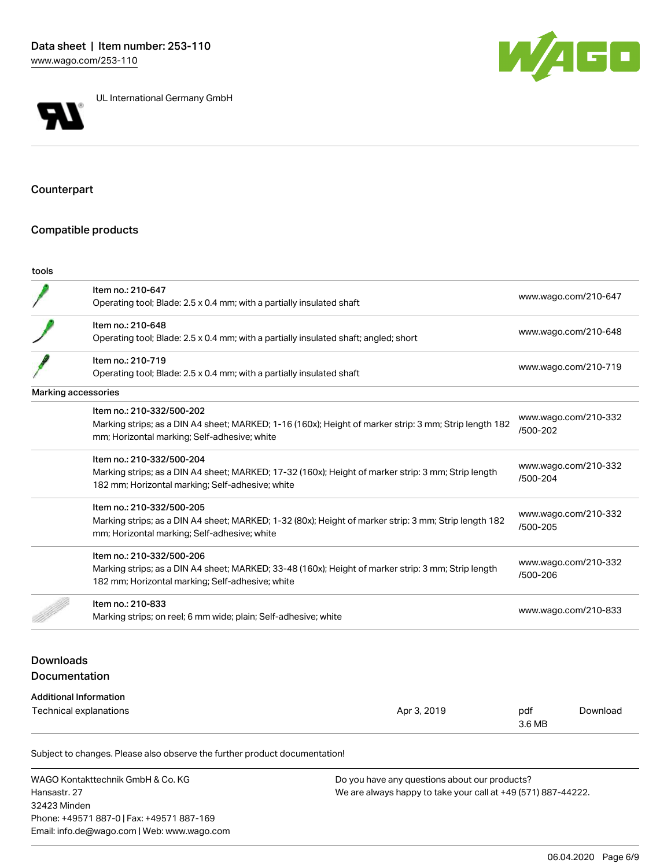



UL International Germany GmbH

### Counterpart

#### Compatible products

| ٠<br>. .<br>×<br>. |
|--------------------|
|--------------------|

|                                   | Item no.: 210-647<br>Operating tool; Blade: 2.5 x 0.4 mm; with a partially insulated shaft                                                                                           |             |                                  | www.wago.com/210-647 |
|-----------------------------------|--------------------------------------------------------------------------------------------------------------------------------------------------------------------------------------|-------------|----------------------------------|----------------------|
|                                   | Item no.: 210-648<br>Operating tool; Blade: 2.5 x 0.4 mm; with a partially insulated shaft; angled; short                                                                            |             |                                  | www.wago.com/210-648 |
|                                   | Item no.: 210-719<br>Operating tool; Blade: 2.5 x 0.4 mm; with a partially insulated shaft                                                                                           |             |                                  | www.wago.com/210-719 |
| Marking accessories               |                                                                                                                                                                                      |             |                                  |                      |
|                                   | Item no.: 210-332/500-202<br>Marking strips; as a DIN A4 sheet; MARKED; 1-16 (160x); Height of marker strip: 3 mm; Strip length 182<br>mm; Horizontal marking; Self-adhesive; white  |             | /500-202                         | www.wago.com/210-332 |
|                                   | Item no.: 210-332/500-204<br>Marking strips; as a DIN A4 sheet; MARKED; 17-32 (160x); Height of marker strip: 3 mm; Strip length<br>182 mm; Horizontal marking; Self-adhesive; white |             | /500-204                         | www.wago.com/210-332 |
|                                   | Item no.: 210-332/500-205<br>Marking strips; as a DIN A4 sheet; MARKED; 1-32 (80x); Height of marker strip: 3 mm; Strip length 182<br>mm; Horizontal marking; Self-adhesive; white   |             | www.wago.com/210-332<br>/500-205 |                      |
|                                   | Item no.: 210-332/500-206<br>Marking strips; as a DIN A4 sheet; MARKED; 33-48 (160x); Height of marker strip: 3 mm; Strip length<br>182 mm; Horizontal marking; Self-adhesive; white |             | www.wago.com/210-332<br>/500-206 |                      |
|                                   | Item no.: 210-833<br>Marking strips; on reel; 6 mm wide; plain; Self-adhesive; white                                                                                                 |             | www.wago.com/210-833             |                      |
| <b>Downloads</b><br>Documentation |                                                                                                                                                                                      |             |                                  |                      |
|                                   | <b>Additional Information</b>                                                                                                                                                        |             |                                  |                      |
| Technical explanations            |                                                                                                                                                                                      | Apr 3, 2019 | pdf                              | Download             |

Subject to changes. Please also observe the further product documentation!

WAGO Kontakttechnik GmbH & Co. KG Hansastr. 27 32423 Minden Phone: +49571 887-0 | Fax: +49571 887-169 Email: info.de@wago.com | Web: www.wago.com

Do you have any questions about our products? We are always happy to take your call at +49 (571) 887-44222.

3.6 MB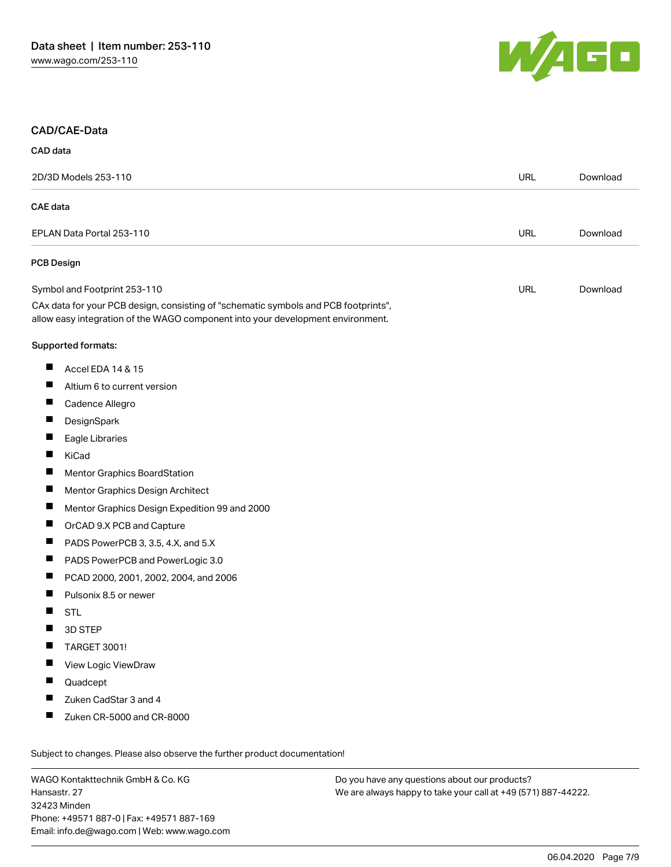

#### CAD/CAE-Data

| CAD data |  |  |
|----------|--|--|
|          |  |  |

| 2D/3D Models 253-110                                                                                                                                                   |  | <b>URL</b> | Download |
|------------------------------------------------------------------------------------------------------------------------------------------------------------------------|--|------------|----------|
| <b>CAE</b> data                                                                                                                                                        |  |            |          |
| EPLAN Data Portal 253-110                                                                                                                                              |  | <b>URL</b> | Download |
| <b>PCB Design</b>                                                                                                                                                      |  |            |          |
| Symbol and Footprint 253-110                                                                                                                                           |  | <b>URL</b> | Download |
| CAx data for your PCB design, consisting of "schematic symbols and PCB footprints",<br>allow easy integration of the WAGO component into your development environment. |  |            |          |
| Supported formats:                                                                                                                                                     |  |            |          |
| П<br>Accel EDA 14 & 15                                                                                                                                                 |  |            |          |
| П<br>Altium 6 to current version                                                                                                                                       |  |            |          |
| ш<br>Cadence Allegro                                                                                                                                                   |  |            |          |
| $\blacksquare$<br>DesignSpark                                                                                                                                          |  |            |          |
| П<br>Eagle Libraries                                                                                                                                                   |  |            |          |
| ш<br>KiCad                                                                                                                                                             |  |            |          |
| $\blacksquare$<br>Mentor Graphics BoardStation                                                                                                                         |  |            |          |
| П<br>Mentor Graphics Design Architect                                                                                                                                  |  |            |          |
| ш<br>Mentor Graphics Design Expedition 99 and 2000                                                                                                                     |  |            |          |
| ш<br>OrCAD 9.X PCB and Capture                                                                                                                                         |  |            |          |
| П<br>PADS PowerPCB 3, 3.5, 4.X, and 5.X                                                                                                                                |  |            |          |
| ш<br>PADS PowerPCB and PowerLogic 3.0                                                                                                                                  |  |            |          |
| $\blacksquare$<br>PCAD 2000, 2001, 2002, 2004, and 2006                                                                                                                |  |            |          |
| П<br>Pulsonix 8.5 or newer                                                                                                                                             |  |            |          |
| H<br><b>STL</b>                                                                                                                                                        |  |            |          |
| 3D STEP                                                                                                                                                                |  |            |          |
| ш<br><b>TARGET 3001!</b>                                                                                                                                               |  |            |          |
| View Logic ViewDraw<br>ш                                                                                                                                               |  |            |          |
| Quadcept                                                                                                                                                               |  |            |          |
| Zuken CadStar 3 and 4                                                                                                                                                  |  |            |          |
| Zuken CR-5000 and CR-8000<br>ш                                                                                                                                         |  |            |          |
| Subject to changes. Please also observe the further product documentation!                                                                                             |  |            |          |

WAGO Kontakttechnik GmbH & Co. KG Hansastr. 27 32423 Minden Phone: +49571 887-0 | Fax: +49571 887-169 Email: info.de@wago.com | Web: www.wago.com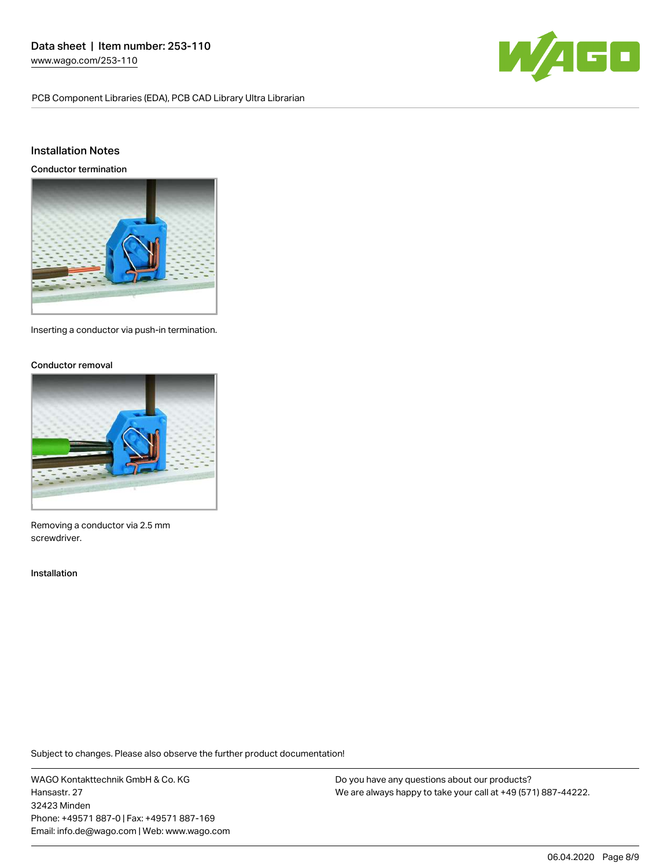PCB Component Libraries (EDA), PCB CAD Library Ultra Librarian



#### Installation Notes

Conductor termination



Inserting a conductor via push-in termination.

#### Conductor removal



Removing a conductor via 2.5 mm screwdriver.

#### Installation

Subject to changes. Please also observe the further product documentation!

WAGO Kontakttechnik GmbH & Co. KG Hansastr. 27 32423 Minden Phone: +49571 887-0 | Fax: +49571 887-169 Email: info.de@wago.com | Web: www.wago.com